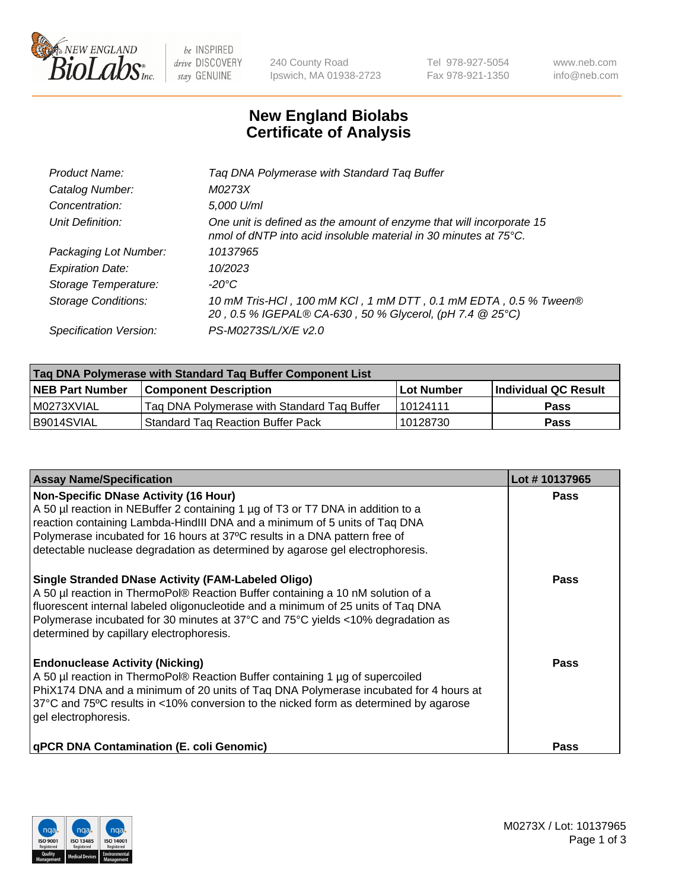

 $be$  INSPIRED drive DISCOVERY stay GENUINE

240 County Road Ipswich, MA 01938-2723 Tel 978-927-5054 Fax 978-921-1350 www.neb.com info@neb.com

## **New England Biolabs Certificate of Analysis**

| Product Name:              | Tag DNA Polymerase with Standard Tag Buffer                                                                                                        |
|----------------------------|----------------------------------------------------------------------------------------------------------------------------------------------------|
| Catalog Number:            | M0273X                                                                                                                                             |
| Concentration:             | 5,000 U/ml                                                                                                                                         |
| Unit Definition:           | One unit is defined as the amount of enzyme that will incorporate 15<br>nmol of dNTP into acid insoluble material in 30 minutes at $75^{\circ}$ C. |
| Packaging Lot Number:      | 10137965                                                                                                                                           |
| <b>Expiration Date:</b>    | 10/2023                                                                                                                                            |
| Storage Temperature:       | $-20^{\circ}$ C                                                                                                                                    |
| <b>Storage Conditions:</b> | 10 mM Tris-HCl, 100 mM KCl, 1 mM DTT, 0.1 mM EDTA, 0.5 % Tween®<br>20, 0.5 % IGEPAL® CA-630, 50 % Glycerol, (pH 7.4 @ 25°C)                        |
| Specification Version:     | PS-M0273S/L/X/E v2.0                                                                                                                               |

| Tag DNA Polymerase with Standard Tag Buffer Component List |                                             |                   |                      |  |
|------------------------------------------------------------|---------------------------------------------|-------------------|----------------------|--|
| <b>NEB Part Number</b>                                     | Component Description_                      | <b>Lot Number</b> | Individual QC Result |  |
| M0273XVIAL                                                 | Tag DNA Polymerase with Standard Tag Buffer | l 10124111        | Pass                 |  |
| B9014SVIAL                                                 | <b>Standard Tag Reaction Buffer Pack</b>    | 10128730          | <b>Pass</b>          |  |

| <b>Assay Name/Specification</b>                                                                                                                                                                                                                                                                                                                                              | Lot #10137965 |
|------------------------------------------------------------------------------------------------------------------------------------------------------------------------------------------------------------------------------------------------------------------------------------------------------------------------------------------------------------------------------|---------------|
| <b>Non-Specific DNase Activity (16 Hour)</b><br>A 50 µl reaction in NEBuffer 2 containing 1 µg of T3 or T7 DNA in addition to a<br>reaction containing Lambda-HindIII DNA and a minimum of 5 units of Taq DNA<br>Polymerase incubated for 16 hours at 37°C results in a DNA pattern free of<br>detectable nuclease degradation as determined by agarose gel electrophoresis. | Pass          |
| <b>Single Stranded DNase Activity (FAM-Labeled Oligo)</b><br>A 50 µl reaction in ThermoPol® Reaction Buffer containing a 10 nM solution of a<br>fluorescent internal labeled oligonucleotide and a minimum of 25 units of Taq DNA<br>Polymerase incubated for 30 minutes at 37°C and 75°C yields <10% degradation as<br>determined by capillary electrophoresis.             | Pass          |
| <b>Endonuclease Activity (Nicking)</b><br>A 50 µl reaction in ThermoPol® Reaction Buffer containing 1 µg of supercoiled<br>PhiX174 DNA and a minimum of 20 units of Taq DNA Polymerase incubated for 4 hours at<br>37°C and 75°C results in <10% conversion to the nicked form as determined by agarose<br>gel electrophoresis.                                              | Pass          |
| <b>qPCR DNA Contamination (E. coli Genomic)</b>                                                                                                                                                                                                                                                                                                                              | Pass          |

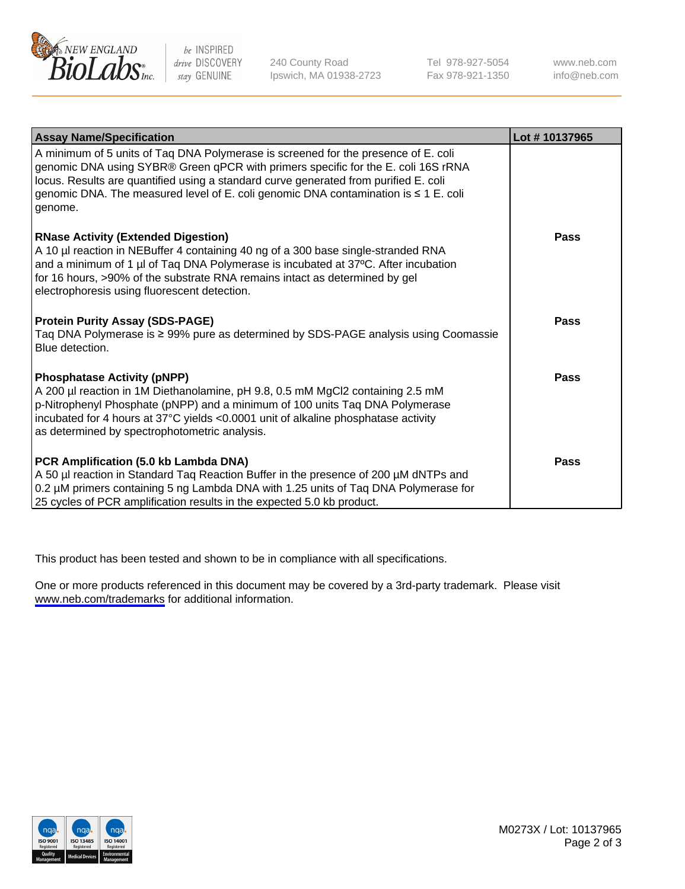

be INSPIRED drive DISCOVERY stay GENUINE

240 County Road Ipswich, MA 01938-2723 Tel 978-927-5054 Fax 978-921-1350

www.neb.com info@neb.com

| <b>Assay Name/Specification</b>                                                                                                                                                                                                                                                                                                                                        | Lot #10137965 |
|------------------------------------------------------------------------------------------------------------------------------------------------------------------------------------------------------------------------------------------------------------------------------------------------------------------------------------------------------------------------|---------------|
| A minimum of 5 units of Taq DNA Polymerase is screened for the presence of E. coli<br>genomic DNA using SYBR® Green qPCR with primers specific for the E. coli 16S rRNA<br>locus. Results are quantified using a standard curve generated from purified E. coli<br>genomic DNA. The measured level of E. coli genomic DNA contamination is $\leq 1$ E. coli<br>genome. |               |
| <b>RNase Activity (Extended Digestion)</b><br>A 10 µl reaction in NEBuffer 4 containing 40 ng of a 300 base single-stranded RNA<br>and a minimum of 1 µl of Taq DNA Polymerase is incubated at 37°C. After incubation<br>for 16 hours, >90% of the substrate RNA remains intact as determined by gel<br>electrophoresis using fluorescent detection.                   | Pass          |
| <b>Protein Purity Assay (SDS-PAGE)</b><br>Taq DNA Polymerase is $\geq 99\%$ pure as determined by SDS-PAGE analysis using Coomassie<br>Blue detection.                                                                                                                                                                                                                 | Pass          |
| <b>Phosphatase Activity (pNPP)</b><br>A 200 µl reaction in 1M Diethanolamine, pH 9.8, 0.5 mM MgCl2 containing 2.5 mM<br>p-Nitrophenyl Phosphate (pNPP) and a minimum of 100 units Taq DNA Polymerase<br>incubated for 4 hours at 37°C yields <0.0001 unit of alkaline phosphatase activity<br>as determined by spectrophotometric analysis.                            | Pass          |
| PCR Amplification (5.0 kb Lambda DNA)<br>A 50 µl reaction in Standard Taq Reaction Buffer in the presence of 200 µM dNTPs and<br>0.2 µM primers containing 5 ng Lambda DNA with 1.25 units of Taq DNA Polymerase for<br>25 cycles of PCR amplification results in the expected 5.0 kb product.                                                                         | <b>Pass</b>   |

This product has been tested and shown to be in compliance with all specifications.

One or more products referenced in this document may be covered by a 3rd-party trademark. Please visit <www.neb.com/trademarks>for additional information.